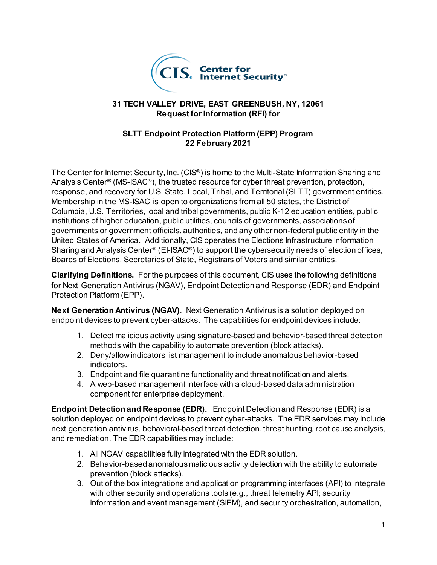

### **31 TECH VALLEY DRIVE, EAST GREENBUSH, NY, 12061 Request for Information (RFI) for**

### **SLTT Endpoint Protection Platform (EPP) Program 22 February 2021**

The Center for Internet Security, Inc. (CIS<sup>®</sup>) is home to the Multi-State Information Sharing and Analysis Center® (MS-ISAC®), the trusted resource for cyber threat prevention, protection, response, and recovery for U.S. State, Local, Tribal, and Territorial (SLTT) government entities. Membership in the MS-ISAC is open to organizations from all 50 states, the District of Columbia, U.S. Territories, local and tribal governments, public K-12 education entities, public institutions of higher education, public utilities, councils of governments, associations of governments or government officials, authorities, and any other non-federal public entity in the United States of America. Additionally, CIS operates the Elections Infrastructure Information Sharing and Analysis Center® (EI-ISAC®) to support the cybersecurity needs of election offices, Boards of Elections, Secretaries of State, Registrars of Voters and similar entities.

**Clarifying Definitions.** For the purposes of this document, CIS uses the following definitions for Next Generation Antivirus (NGAV), Endpoint Detection and Response (EDR) and Endpoint Protection Platform (EPP).

**Next Generation Antivirus (NGAV)**. Next Generation Antivirus is a solution deployed on endpoint devices to prevent cyber-attacks. The capabilities for endpoint devices include:

- 1. Detect malicious activity using signature-based and behavior-based threat detection methods with the capability to automate prevention (block attacks).
- 2. Deny/allow indicators list management to include anomalous behavior-based indicators.
- 3. Endpoint and file quarantine functionality and threat notification and alerts.
- 4. A web-based management interface with a cloud-based data administration component for enterprise deployment.

**Endpoint Detection and Response (EDR).** Endpoint Detection and Response (EDR) is a solution deployed on endpoint devices to prevent cyber-attacks. The EDR services may include next generation antivirus, behavioral-based threat detection, threat hunting, root cause analysis, and remediation. The EDR capabilities may include:

- 1. All NGAV capabilities fully integrated with the EDR solution.
- 2. Behavior-based anomalous malicious activity detection with the ability to automate prevention (block attacks).
- 3. Out of the box integrations and application programming interfaces (API) to integrate with other security and operations tools (e.g., threat telemetry API; security information and event management (SIEM), and security orchestration, automation,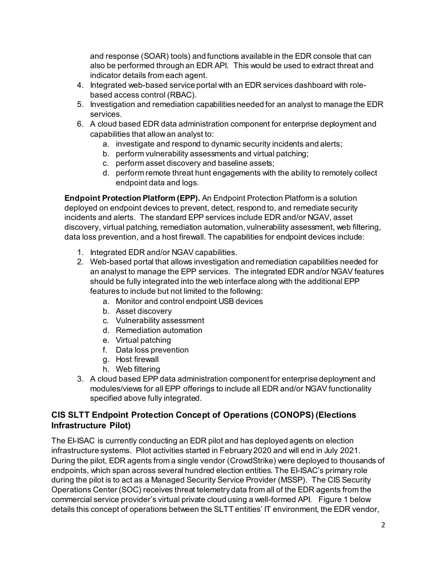and response (SOAR) tools) and functions available in the EDR console that can also be performed through an EDR API. This would be used to extract threat and indicator details from each agent.

- 4. Integrated web-based service portal with an EDR services dashboard with rolebased access control (RBAC).
- 5. Investigation and remediation capabilities needed for an analyst to manage the EDR services.
- 6. A cloud based EDR data administration component for enterprise deployment and capabilities that allowan analyst to:
	- a. investigate and respond to dynamic security incidents and alerts;
	- b. perform vulnerability assessments and virtual patching;
	- c. perform asset discovery and baseline assets;
	- d. perform remote threat hunt engagements with the ability to remotely collect endpoint data and logs.

**Endpoint Protection Platform (EPP).** An Endpoint Protection Platform is a solution deployed on endpoint devices to prevent, detect, respond to, and remediate security incidents and alerts. The standard EPP services include EDR and/or NGAV, asset discovery, virtual patching, remediation automation, vulnerability assessment, web filtering, data loss prevention, and a host firewall. The capabilities for endpoint devices include:

- 1. Integrated EDR and/or NGAV capabilities.
- 2. Web-based portal that allows investigation and remediation capabilities needed for an analyst to manage the EPP services. The integrated EDR and/or NGAV features should be fully integrated into the web interface along with the additional EPP features to include but not limited to the following:
	- a. Monitor and control endpoint USB devices
	- b. Asset discovery
	- c. Vulnerability assessment
	- d. Remediation automation
	- e. Virtual patching
	- f. Data loss prevention
	- g. Host firewall
	- h. Web filtering
- 3. A cloud based EPP data administration component for enterprise deployment and modules/views for all EPP offerings to include all EDR and/or NGAV functionality specified above fully integrated.

# **CIS SLTT Endpoint Protection Concept of Operations (CONOPS) (Elections Infrastructure Pilot)**

The EI-ISAC is currently conducting an EDR pilot and has deployed agents on election infrastructure systems. Pilot activities started in February 2020 and will end in July 2021. During the pilot, EDR agents from a single vendor (CrowdStrike) were deployed to thousands of endpoints, which span across several hundred election entities. The EI-ISAC's primary role during the pilot is to act as a Managed Security Service Provider (MSSP). The CIS Security Operations Center (SOC) receives threat telemetry data from all of the EDR agents from the commercial service provider's virtual private cloud using a well-formed API. Figure 1 below details this concept of operations between the SLTT entities' IT environment, the EDR vendor,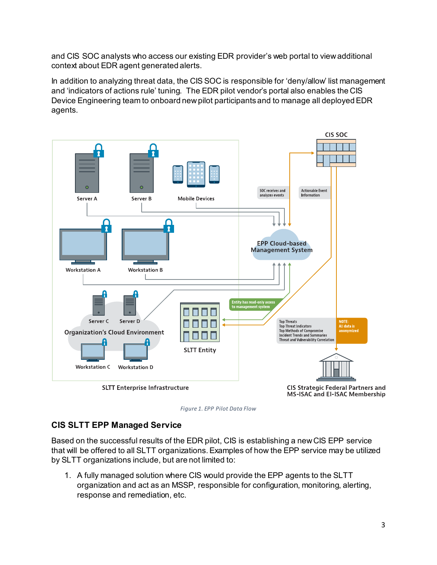and CIS SOC analysts who access our existing EDR provider's web portal to view additional context about EDR agent generated alerts.

In addition to analyzing threat data, the CIS SOC is responsible for 'deny/allow' list management and 'indicators of actions rule' tuning. The EDR pilot vendor's portal also enables the CIS Device Engineering team to onboard new pilot participants and to manage all deployed EDR agents.



*Figure 1. EPP Pilot Data Flow*

### **CIS SLTT EPP Managed Service**

Based on the successful results of the EDR pilot, CIS is establishing a new CIS EPP service that will be offered to all SLTT organizations.Examples of how the EPP service may be utilized by SLTT organizations include, but are not limited to:

1. A fully managed solution where CIS would provide the EPP agents to the SLTT organization and act as an MSSP, responsible for configuration, monitoring, alerting, response and remediation, etc.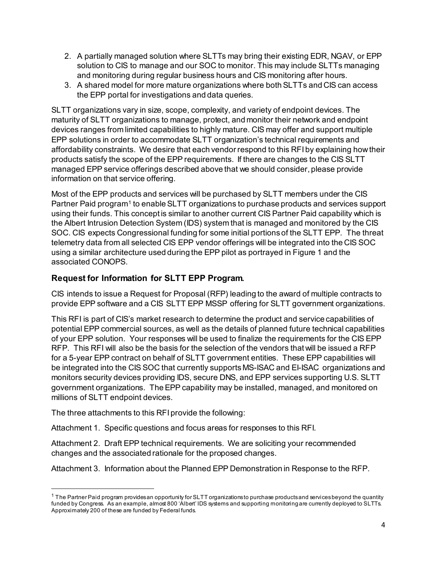- 2. A partially managed solution where SLTTs may bring their existing EDR, NGAV, or EPP solution to CIS to manage and our SOC to monitor. This may include SLTTs managing and monitoring during regular business hours and CIS monitoring after hours.
- 3. A shared model for more mature organizations where both SLTTs and CIS can access the EPP portal for investigations and data queries.

SLTT organizations vary in size, scope, complexity, and variety of endpoint devices. The maturity of SLTT organizations to manage, protect, and monitor their network and endpoint devices ranges from limited capabilities to highly mature. CIS may offer and support multiple EPP solutions in order to accommodate SLTT organization's technical requirements and affordability constraints. We desire that each vendor respond to this RFI by explaining how their products satisfy the scope of the EPP requirements. If there are changes to the CIS SLTT managed EPP service offerings described above that we should consider, please provide information on that service offering.

Most of the EPP products and services will be purchased by SLTT members under the CIS Partner Paid program<sup>[1](#page-3-0)</sup> to enable SLTT organizations to purchase products and services support using their funds. This concept is similar to another current CIS Partner Paid capability which is the Albert Intrusion Detection System (IDS) system that is managed and monitored by the CIS SOC. CIS expects Congressional funding for some initial portions of the SLTT EPP. The threat telemetry data from all selected CIS EPP vendor offerings will be integrated into the CIS SOC using a similar architecture used during the EPP pilot as portrayed in Figure 1 and the associated CONOPS.

# **Request for Information for SLTT EPP Program.**

CIS intends to issue a Request for Proposal (RFP) leading to the award of multiple contracts to provide EPP software and a CIS SLTT EPP MSSP offering for SLTT government organizations.

This RFI is part of CIS's market research to determine the product and service capabilities of potential EPP commercial sources, as well as the details of planned future technical capabilities of your EPP solution. Your responses will be used to finalize the requirements for the CIS EPP RFP. This RFI will also be the basis for the selection of the vendors that will be issued a RFP for a 5-year EPP contract on behalf of SLTT government entities. These EPP capabilities will be integrated into the CIS SOC that currently supports MS-ISAC and EI-ISAC organizations and monitors security devices providing IDS, secure DNS, and EPP services supporting U.S. SLTT government organizations. The EPP capability may be installed, managed, and monitored on millions of SLTT endpoint devices.

The three attachments to this RFI provide the following:

l

Attachment 1. Specific questions and focus areas for responses to this RFI.

Attachment 2. Draft EPP technical requirements. We are soliciting your recommended changes and the associated rationale for the proposed changes.

Attachment 3. Information about the Planned EPP Demonstration in Response to the RFP.

<span id="page-3-0"></span> $1$  The Partner Paid program provides an opportunity for SLTT organizations to purchase products and services beyond the quantity funded by Congress. As an example, almost 800 'Albert' IDS systems and supporting monitoring are currently deployed to SLTTs. Approximately 200 of these are funded by Federal funds.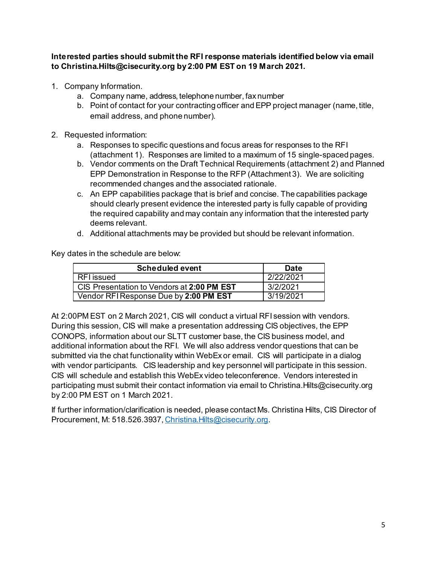**Interested parties should submit the RFI response materials identified below via email to Christina.Hilts@cisecurity.org by 2:00 PM EST on 19 March 2021.**

- 1. Company Information.
	- a. Company name, address, telephone number, fax number
	- b. Point of contact for your contracting officer and EPP project manager (name, title, email address, and phone number).
- 2. Requested information:
	- a. Responses to specific questions and focus areas for responses to the RFI (attachment 1). Responses are limited to a maximum of 15 single-spaced pages.
	- b. Vendor comments on the Draft Technical Requirements (attachment 2) and Planned EPP Demonstration in Response to the RFP (Attachment 3). We are soliciting recommended changes and the associated rationale.
	- c. An EPP capabilities package that is brief and concise. The capabilities package should clearly present evidence the interested party is fully capable of providing the required capability and may contain any information that the interested party deems relevant.
	- d. Additional attachments may be provided but should be relevant information.

Key dates in the schedule are below:

| Scheduled event                            | <b>Date</b> |
|--------------------------------------------|-------------|
| RFI issued                                 | 2/22/2021   |
| CIS Presentation to Vendors at 2:00 PM EST | 3/2/2021    |
| Vendor RFI Response Due by 2:00 PM EST     | 3/19/2021   |

At 2:00PM EST on 2 March 2021, CIS will conduct a virtual RFI session with vendors. During this session, CIS will make a presentation addressing CIS objectives, the EPP CONOPS, information about our SLTT customer base, the CIS business model, and additional information about the RFI. We will also address vendor questions that can be submitted via the chat functionality within WebEx or email. CIS will participate in a dialog with vendor participants. CIS leadership and key personnel will participate in this session. CIS will schedule and establish this WebEx video teleconference. Vendors interested in participating must submit their contact information via email to Christina.Hilts@cisecurity.org by 2:00 PM EST on 1 March 2021.

If further information/clarification is needed, please contact Ms. Christina Hilts, CIS Director of Procurement, M: 518.526.3937[, Christina.Hilts@cisecurity.org](mailto:Christina.Hilts@cisecurity.org).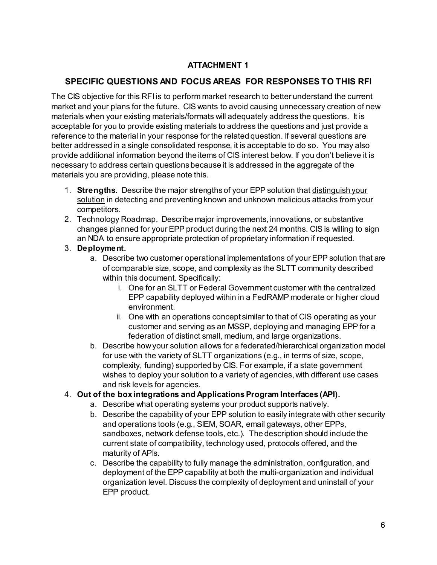## **ATTACHMENT 1**

# **SPECIFIC QUESTIONS AND FOCUS AREAS FOR RESPONSES TO THIS RFI**

The CIS objective for this RFI is to perform market research to better understand the current market and your plans for the future. CIS wants to avoid causing unnecessary creation of new materials when your existing materials/formats will adequately address the questions. It is acceptable for you to provide existing materials to address the questions and just provide a reference to the material in your response for the related question. If several questions are better addressed in a single consolidated response, it is acceptable to do so. You may also provide additional information beyond the items of CIS interest below. If you don't believe it is necessary to address certain questions because it is addressed in the aggregate of the materials you are providing, please note this.

- 1. **Strengths**. Describe the major strengths of your EPP solution that distinguish your solution in detecting and preventing known and unknown malicious attacks from your competitors.
- 2. Technology Roadmap. Describe major improvements, innovations, or substantive changes planned for your EPP product during the next 24 months. CIS is willing to sign an NDA to ensure appropriate protection of proprietary information if requested.

### 3. **Deployment.**

- a. Describe two customer operational implementations of your EPP solution that are of comparable size, scope, and complexity as the SLTT community described within this document. Specifically:
	- i. One for an SLTT or Federal Government customer with the centralized EPP capability deployed within in a FedRAMP moderate or higher cloud environment.
	- ii. One with an operations concept similar to that of CIS operating as your customer and serving as an MSSP, deploying and managing EPP for a federation of distinct small, medium, and large organizations.
- b. Describe how your solution allows for a federated/hierarchical organization model for use with the variety of SLTT organizations (e.g., in terms of size, scope, complexity, funding) supported by CIS. For example, if a state government wishes to deploy your solution to a variety of agencies, with different use cases and risk levels for agencies.

### 4. **Out of the box integrations and Applications Program Interfaces (API).**

- a. Describe what operating systems your product supports natively.
- b. Describe the capability of your EPP solution to easily integrate with other security and operations tools (e.g., SIEM, SOAR, email gateways, other EPPs, sandboxes, network defense tools, etc.). The description should include the current state of compatibility, technology used, protocols offered, and the maturity of APIs.
- c. Describe the capability to fully manage the administration, configuration, and deployment of the EPP capability at both the multi-organization and individual organization level. Discuss the complexity of deployment and uninstall of your EPP product.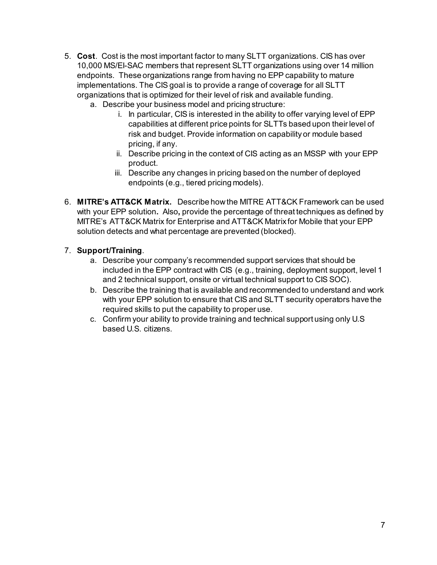- 5. **Cost**. Cost is the most important factor to many SLTT organizations. CIS has over 10,000 MS/EI-SAC members that represent SLTT organizations using over 14 million endpoints. These organizations range from having no EPP capability to mature implementations. The CIS goal is to provide a range of coverage for all SLTT organizations that is optimized for their level of risk and available funding.
	- a. Describe your business model and pricing structure:
		- i. In particular, CIS is interested in the ability to offer varying level of EPP capabilities at different price points for SLTTs based upon their level of risk and budget. Provide information on capability or module based pricing, if any.
		- ii. Describe pricing in the context of CIS acting as an MSSP with your EPP product.
		- iii. Describe any changes in pricing based on the number of deployed endpoints (e.g., tiered pricing models).
- 6. **MITRE's ATT&CK Matrix.** Describe how the MITRE ATT&CK Framework can be used with your EPP solution**.** Also**,** provide the percentage of threat techniques as defined by MITRE's ATT&CK Matrix for Enterprise and ATT&CK Matrix for Mobile that your EPP solution detects and what percentage are prevented (blocked).

### 7. **Support/Training**.

- a. Describe your company's recommended support services that should be included in the EPP contract with CIS (e.g., training, deployment support, level 1 and 2 technical support, onsite or virtual technical support to CIS SOC).
- b. Describe the training that is available and recommended to understand and work with your EPP solution to ensure that CIS and SLTT security operators have the required skills to put the capability to proper use.
- c. Confirm your ability to provide training and technical support using only U.S based U.S. citizens.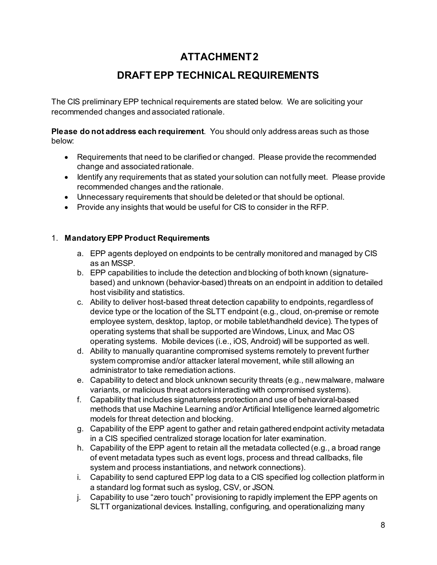# **ATTACHMENT 2**

# **DRAFT EPP TECHNICAL REQUIREMENTS**

The CIS preliminary EPP technical requirements are stated below. We are soliciting your recommended changes and associated rationale.

**Please do not address each requirement**. You should only address areas such as those below:

- Requirements that need to be clarified or changed. Please provide the recommended change and associated rationale.
- Identify any requirements that as stated your solution can not fully meet. Please provide recommended changes and the rationale.
- Unnecessary requirements that should be deleted or that should be optional.
- Provide any insights that would be useful for CIS to consider in the RFP.

### 1. **Mandatory EPP Product Requirements**

- a. EPP agents deployed on endpoints to be centrally monitored and managed by CIS as an MSSP.
- b. EPP capabilities to include the detection and blocking of both known (signaturebased) and unknown (behavior-based) threats on an endpoint in addition to detailed host visibility and statistics.
- c. Ability to deliver host-based threat detection capability to endpoints, regardless of device type or the location of the SLTT endpoint (e.g., cloud, on-premise or remote employee system, desktop, laptop, or mobile tablet/handheld device). The types of operating systems that shall be supported are Windows, Linux, and Mac OS operating systems. Mobile devices (i.e., iOS, Android) will be supported as well.
- d. Ability to manually quarantine compromised systems remotely to prevent further system compromise and/or attacker lateral movement, while still allowing an administrator to take remediation actions.
- e. Capability to detect and block unknown security threats (e.g., new malware, malware variants, or malicious threat actors interacting with compromised systems).
- f. Capability that includes signatureless protection and use of behavioral-based methods that use Machine Learning and/or Artificial Intelligence learned algometric models for threat detection and blocking.
- g. Capability of the EPP agent to gather and retain gathered endpoint activity metadata in a CIS specified centralized storage location for later examination.
- h. Capability of the EPP agent to retain all the metadata collected (e.g., a broad range of event metadata types such as event logs, process and thread callbacks, file system and process instantiations, and network connections).
- i. Capability to send captured EPP log data to a CIS specified log collection platform in a standard log format such as syslog, CSV, or JSON.
- j. Capability to use "zero touch" provisioning to rapidly implement the EPP agents on SLTT organizational devices. Installing, configuring, and operationalizing many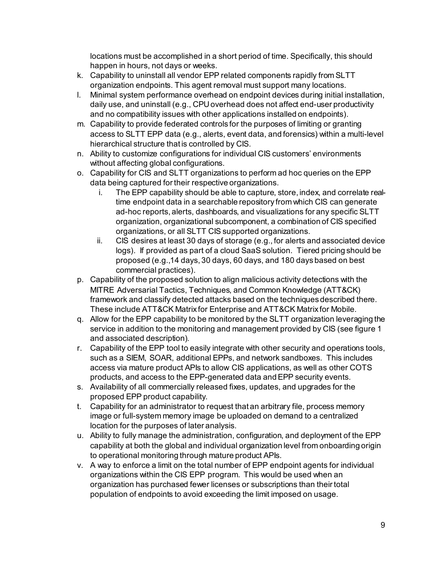locations must be accomplished in a short period of time. Specifically, this should happen in hours, not days or weeks.

- k. Capability to uninstall all vendor EPP related components rapidly from SLTT organization endpoints. This agent removal must support many locations.
- l. Minimal system performance overhead on endpoint devices during initial installation, daily use, and uninstall (e.g., CPU overhead does not affect end-user productivity and no compatibility issues with other applications installed on endpoints).
- m. Capability to provide federated controls for the purposes of limiting or granting access to SLTT EPP data (e.g., alerts, event data, and forensics) within a multi-level hierarchical structure that is controlled by CIS.
- n. Ability to customize configurations for individual CIS customers' environments without affecting global configurations.
- o. Capability for CIS and SLTT organizations to perform ad hoc queries on the EPP data being captured for their respective organizations.
	- i. The EPP capability should be able to capture, store, index, and correlate realtime endpoint data in a searchable repository from which CIS can generate ad-hoc reports, alerts, dashboards, and visualizations for any specific SLTT organization, organizational subcomponent, a combination of CIS specified organizations, or all SLTT CIS supported organizations.
	- ii. CIS desires at least 30 days of storage (e.g., for alerts and associated device logs). If provided as part of a cloud SaaS solution. Tiered pricing should be proposed (e.g.,14 days, 30 days, 60 days, and 180 days based on best commercial practices).
- p. Capability of the proposed solution to align malicious activity detections with the MITRE Adversarial Tactics, Techniques, and Common Knowledge (ATT&CK) framework and classify detected attacks based on the techniques described there. These include ATT&CK Matrix for Enterprise and ATT&CK Matrix for Mobile.
- q. Allow for the EPP capability to be monitored by the SLTT organization leveraging the service in addition to the monitoring and management provided by CIS (see figure 1 and associated description).
- r. Capability of the EPP tool to easily integrate with other security and operations tools, such as a SIEM, SOAR, additional EPPs, and network sandboxes. This includes access via mature product APIs to allow CIS applications, as well as other COTS products, and access to the EPP-generated data and EPP security events.
- s. Availability of all commercially released fixes, updates, and upgrades for the proposed EPP product capability.
- t. Capability for an administrator to request that an arbitrary file, process memory image or full-system memory image be uploaded on demand to a centralized location for the purposes of later analysis.
- u. Ability to fully manage the administration, configuration, and deployment of the EPP capability at both the global and individual organization level from onboarding origin to operational monitoring through mature product APIs.
- v. A way to enforce a limit on the total number of EPP endpoint agents for individual organizations within the CIS EPP program. This would be used when an organization has purchased fewer licenses or subscriptions than their total population of endpoints to avoid exceeding the limit imposed on usage.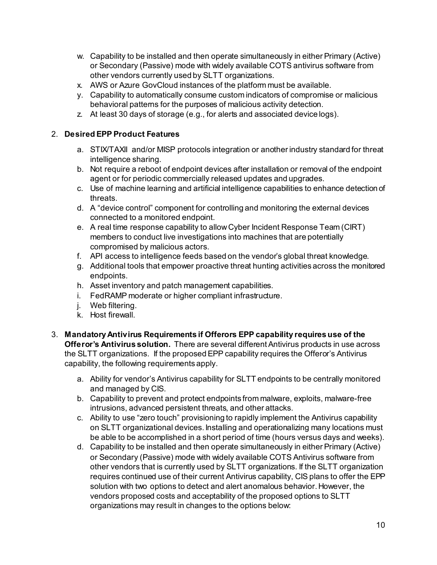- w. Capability to be installed and then operate simultaneously in either Primary (Active) or Secondary (Passive) mode with widely available COTS antivirus software from other vendors currently used by SLTT organizations.
- x. AWS or Azure GovCloud instances of the platform must be available.
- y. Capability to automatically consume custom indicators of compromise or malicious behavioral patterns for the purposes of malicious activity detection.
- z. At least 30 days of storage (e.g., for alerts and associated device logs).

### 2. **Desired EPP Product Features**

- a. STIX/TAXII and/or MISP protocols integration or another industry standard for threat intelligence sharing.
- b. Not require a reboot of endpoint devices after installation or removal of the endpoint agent or for periodic commercially released updates and upgrades.
- c. Use of machine learning and artificial intelligence capabilities to enhance detection of threats.
- d. A "device control" component for controlling and monitoring the external devices connected to a monitored endpoint.
- e. A real time response capability to allow Cyber Incident Response Team (CIRT) members to conduct live investigations into machines that are potentially compromised by malicious actors.
- f. API access to intelligence feeds based on the vendor's global threat knowledge.
- g. Additional tools that empower proactive threat hunting activities across the monitored endpoints.
- h. Asset inventory and patch management capabilities.
- i. FedRAMP moderate or higher compliant infrastructure.
- j. Web filtering.
- k. Host firewall.
- 3. **Mandatory Antivirus Requirements if Offerors EPP capability requires use of the Offeror's Antivirus solution.** There are several different Antivirus products in use across the SLTT organizations. If the proposed EPP capability requires the Offeror's Antivirus capability, the following requirements apply.
	- a. Ability for vendor's Antivirus capability for SLTT endpoints to be centrally monitored and managed by CIS.
	- b. Capability to prevent and protect endpoints from malware, exploits, malware-free intrusions, advanced persistent threats, and other attacks.
	- c. Ability to use "zero touch" provisioning to rapidly implement the Antivirus capability on SLTT organizational devices. Installing and operationalizing many locations must be able to be accomplished in a short period of time (hours versus days and weeks).
	- d. Capability to be installed and then operate simultaneously in either Primary (Active) or Secondary (Passive) mode with widely available COTS Antivirus software from other vendors that is currently used by SLTT organizations. If the SLTT organization requires continued use of their current Antivirus capability, CIS plans to offer the EPP solution with two options to detect and alert anomalous behavior. However, the vendors proposed costs and acceptability of the proposed options to SLTT organizations may result in changes to the options below: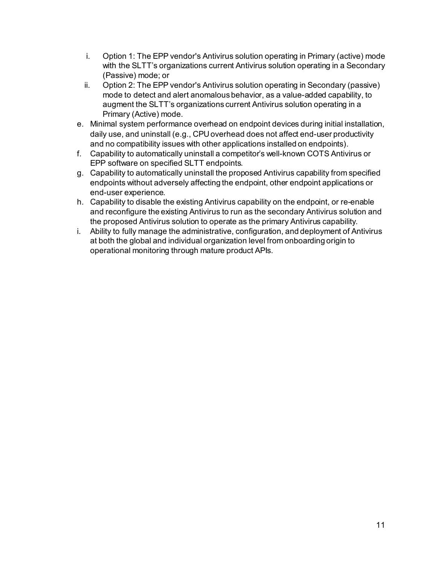- i. Option 1: The EPP vendor's Antivirus solution operating in Primary (active) mode with the SLTT's organizations current Antivirus solution operating in a Secondary (Passive) mode; or
- ii. Option 2: The EPP vendor's Antivirus solution operating in Secondary (passive) mode to detect and alert anomalous behavior, as a value-added capability, to augment the SLTT's organizations current Antivirus solution operating in a Primary (Active) mode.
- e. Minimal system performance overhead on endpoint devices during initial installation, daily use, and uninstall (e.g., CPU overhead does not affect end-user productivity and no compatibility issues with other applications installed on endpoints).
- f. Capability to automatically uninstall a competitor's well-known COTS Antivirus or EPP software on specified SLTT endpoints.
- g. Capability to automatically uninstall the proposed Antivirus capability from specified endpoints without adversely affecting the endpoint, other endpoint applications or end-user experience.
- h. Capability to disable the existing Antivirus capability on the endpoint, or re-enable and reconfigure the existing Antivirus to run as the secondary Antivirus solution and the proposed Antivirus solution to operate as the primary Antivirus capability.
- i. Ability to fully manage the administrative, configuration, and deployment of Antivirus at both the global and individual organization level from onboarding origin to operational monitoring through mature product APIs.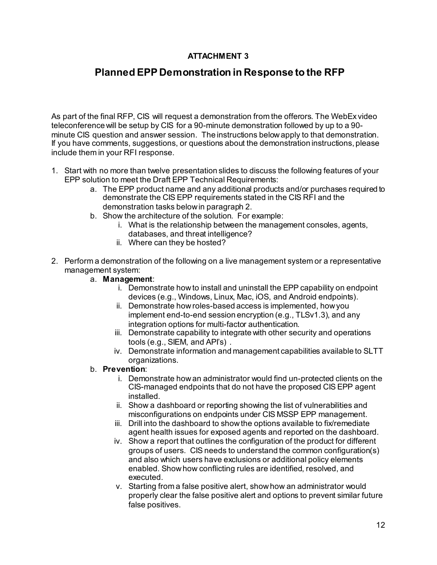# **ATTACHMENT 3**

# **Planned EPP Demonstration in Response to the RFP**

As part of the final RFP, CIS will request a demonstration from the offerors. The WebEx video teleconference will be setup by CIS for a 90-minute demonstration followed by up to a 90 minute CIS question and answer session. The instructions below apply to that demonstration. If you have comments, suggestions, or questions about the demonstration instructions, please include them in your RFI response.

- 1. Start with no more than twelve presentation slides to discuss the following features of your EPP solution to meet the Draft EPP Technical Requirements:
	- a. The EPP product name and any additional products and/or purchases required to demonstrate the CIS EPP requirements stated in the CIS RFI and the demonstration tasks below in paragraph 2.
	- b. Show the architecture of the solution. For example:
		- i. What is the relationship between the management consoles, agents, databases, and threat intelligence?
		- ii. Where can they be hosted?
- 2. Perform a demonstration of the following on a live management system or a representative management system:

### a. **Management**:

- i. Demonstrate how to install and uninstall the EPP capability on endpoint devices (e.g., Windows, Linux, Mac, iOS, and Android endpoints).
- ii. Demonstrate how roles-based access is implemented, how you implement end-to-end session encryption (e.g., TLSv1.3), and any integration options for multi-factor authentication.
- iii. Demonstrate capability to integrate with other security and operations tools (e.g., SIEM, and API's) .
- iv. Demonstrate information and management capabilities available to SLTT organizations.

### b. **Prevention**:

- i. Demonstrate how an administrator would find un-protected clients on the CIS-managed endpoints that do not have the proposed CIS EPP agent installed.
- ii. Show a dashboard or reporting showing the list of vulnerabilities and misconfigurations on endpoints under CIS MSSP EPP management.
- iii. Drill into the dashboard to show the options available to fix/remediate agent health issues for exposed agents and reported on the dashboard.
- iv. Show a report that outlines the configuration of the product for different groups of users. CIS needs to understand the common configuration(s) and also which users have exclusions or additional policy elements enabled. Show how conflicting rules are identified, resolved, and executed.
- v. Starting from a false positive alert, show how an administrator would properly clear the false positive alert and options to prevent similar future false positives.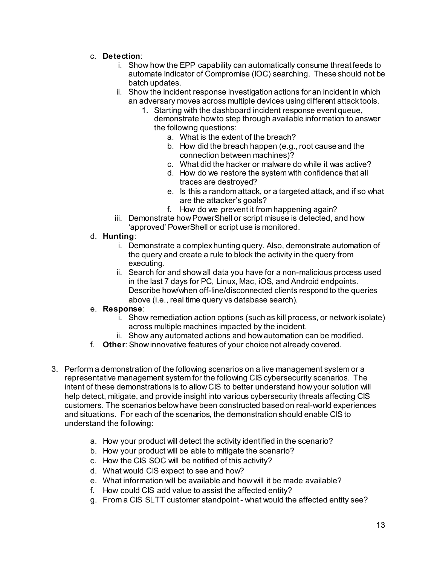- c. **Detection**:
	- i. Show how the EPP capability can automatically consume threat feeds to automate Indicator of Compromise (IOC) searching. These should not be batch updates.
	- ii. Show the incident response investigation actions for an incident in which an adversary moves across multiple devices using different attack tools.
		- 1. Starting with the dashboard incident response event queue, demonstrate how to step through available information to answer the following questions:
			- a. What is the extent of the breach?
			- b. How did the breach happen (e.g., root cause and the connection between machines)?
			- c. What did the hacker or malware do while it was active?
			- d. How do we restore the system with confidence that all traces are destroyed?
			- e. Is this a random attack, or a targeted attack, and if so what are the attacker's goals?
			- f. How do we prevent it from happening again?
	- iii. Demonstrate how PowerShell or script misuse is detected, and how 'approved' PowerShell or script use is monitored.
- d. **Hunting**:
	- i. Demonstrate a complex hunting query. Also, demonstrate automation of the query and create a rule to block the activity in the query from executing.
	- ii. Search for and show all data you have for a non-malicious process used in the last 7 days for PC, Linux, Mac, iOS, and Android endpoints. Describe how/when off-line/disconnected clients respond to the queries above (i.e., real time query vs database search).

#### e. **Response**:

- i. Show remediation action options (such as kill process, or network isolate) across multiple machines impacted by the incident.
- ii. Show any automated actions and how automation can be modified.
- f. **Other**: Show innovative features of your choice not already covered.
- 3. Perform a demonstration of the following scenarios on a live management system or a representative management system for the following CIS cybersecurity scenarios. The intent of these demonstrations is to allow CIS to better understand how your solution will help detect, mitigate, and provide insight into various cybersecurity threats affecting CIS customers. The scenarios below have been constructed based on real-world experiences and situations. For each of the scenarios, the demonstration should enable CIS to understand the following:
	- a. How your product will detect the activity identified in the scenario?
	- b. How your product will be able to mitigate the scenario?
	- c. How the CIS SOC will be notified of this activity?
	- d. What would CIS expect to see and how?
	- e. What information will be available and how will it be made available?
	- f. How could CIS add value to assist the affected entity?
	- g. From a CIS SLTT customer standpoint what would the affected entity see?